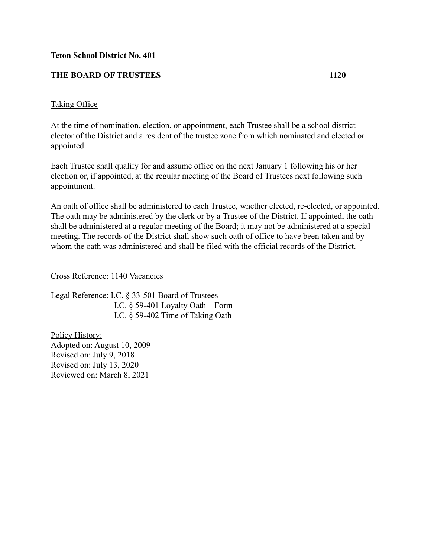## **Teton School District No. 401**

## **THE BOARD OF TRUSTEES 1120**

## Taking Office

At the time of nomination, election, or appointment, each Trustee shall be a school district elector of the District and a resident of the trustee zone from which nominated and elected or appointed.

Each Trustee shall qualify for and assume office on the next January 1 following his or her election or, if appointed, at the regular meeting of the Board of Trustees next following such appointment.

An oath of office shall be administered to each Trustee, whether elected, re-elected, or appointed. The oath may be administered by the clerk or by a Trustee of the District. If appointed, the oath shall be administered at a regular meeting of the Board; it may not be administered at a special meeting. The records of the District shall show such oath of office to have been taken and by whom the oath was administered and shall be filed with the official records of the District.

Cross Reference: 1140 Vacancies

Legal Reference: I.C. § 33-501 Board of Trustees I.C. § 59-401 Loyalty Oath—Form I.C. § 59-402 Time of Taking Oath

Policy History: Adopted on: August 10, 2009 Revised on: July 9, 2018 Revised on: July 13, 2020 Reviewed on: March 8, 2021